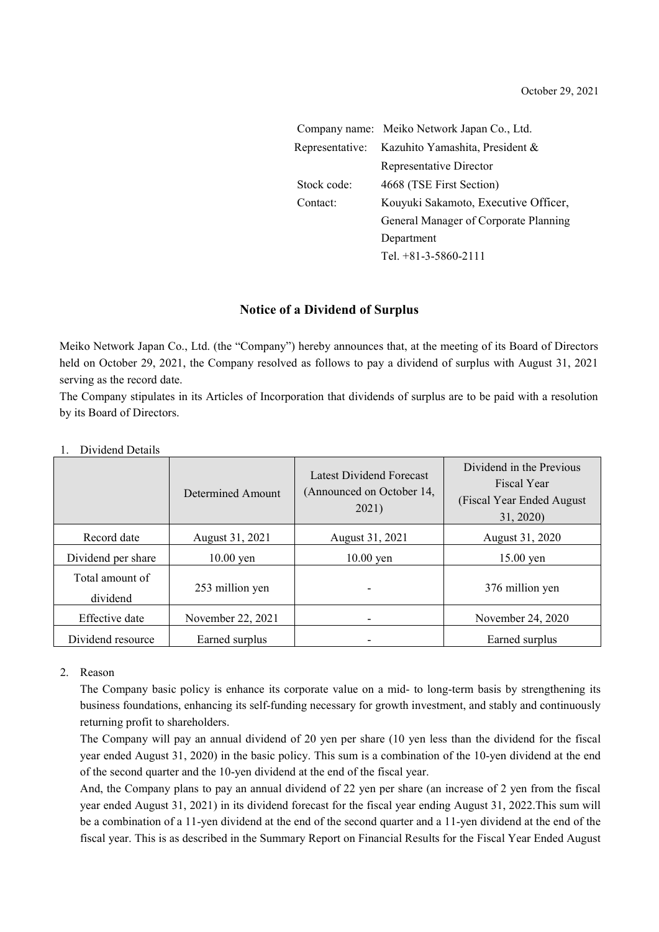|                 | Company name: Meiko Network Japan Co., Ltd. |  |  |
|-----------------|---------------------------------------------|--|--|
| Representative: | Kazuhito Yamashita, President &             |  |  |
|                 | Representative Director                     |  |  |
| Stock code:     | 4668 (TSE First Section)                    |  |  |
| Contact:        | Kouyuki Sakamoto, Executive Officer,        |  |  |
|                 | General Manager of Corporate Planning       |  |  |
|                 | Department                                  |  |  |
|                 | Tel. +81-3-5860-2111                        |  |  |

### **Notice of a Dividend of Surplus**

Meiko Network Japan Co., Ltd. (the "Company") hereby announces that, at the meeting of its Board of Directors held on October 29, 2021, the Company resolved as follows to pay a dividend of surplus with August 31, 2021 serving as the record date.

The Company stipulates in its Articles of Incorporation that dividends of surplus are to be paid with a resolution by its Board of Directors.

|                             | Determined Amount | Latest Dividend Forecast<br>(Announced on October 14,<br>2021) | Dividend in the Previous<br>Fiscal Year<br>(Fiscal Year Ended August)<br>31, 2020) |
|-----------------------------|-------------------|----------------------------------------------------------------|------------------------------------------------------------------------------------|
| Record date                 | August 31, 2021   | August 31, 2021                                                | August 31, 2020                                                                    |
| Dividend per share          | $10.00$ yen       | $10.00$ yen                                                    | $15.00$ yen                                                                        |
| Total amount of<br>dividend | 253 million yen   |                                                                | 376 million yen                                                                    |
| Effective date              | November 22, 2021 | $\overline{\phantom{a}}$                                       | November 24, 2020                                                                  |
| Dividend resource           | Earned surplus    |                                                                | Earned surplus                                                                     |

#### 1. Dividend Details

### 2. Reason

The Company basic policy is enhance its corporate value on a mid- to long-term basis by strengthening its business foundations, enhancing its self-funding necessary for growth investment, and stably and continuously returning profit to shareholders.

The Company will pay an annual dividend of 20 yen per share (10 yen less than the dividend for the fiscal year ended August 31, 2020) in the basic policy. This sum is a combination of the 10-yen dividend at the end of the second quarter and the 10-yen dividend at the end of the fiscal year.

And, the Company plans to pay an annual dividend of 22 yen per share (an increase of 2 yen from the fiscal year ended August 31, 2021) in its dividend forecast for the fiscal year ending August 31, 2022.This sum will be a combination of a 11-yen dividend at the end of the second quarter and a 11-yen dividend at the end of the fiscal year. This is as described in the Summary Report on Financial Results for the Fiscal Year Ended August